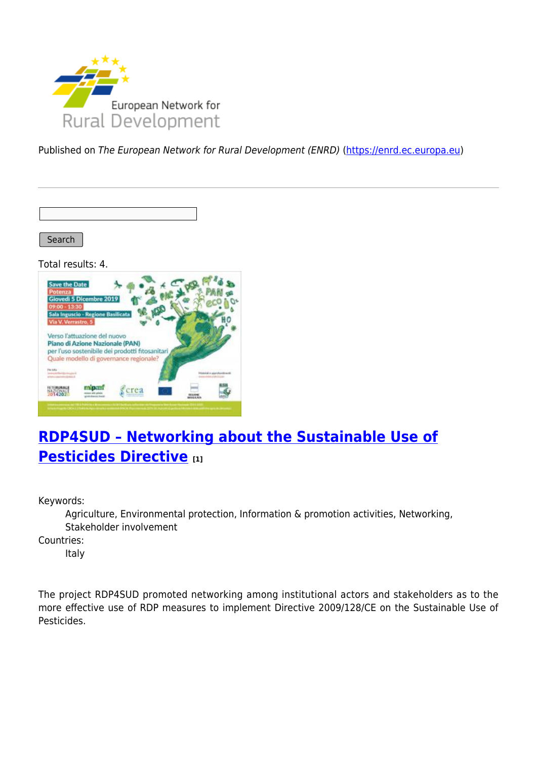

Published on The European Network for Rural Development (ENRD) [\(https://enrd.ec.europa.eu](https://enrd.ec.europa.eu))

Search

Total results: 4.



## **[RDP4SUD – Networking about the Sustainable Use of](https://enrd.ec.europa.eu/projects-practice/rdp4sud-networking-about-sustainable-use-pesticides-directive_en) [Pesticides Directive](https://enrd.ec.europa.eu/projects-practice/rdp4sud-networking-about-sustainable-use-pesticides-directive_en) [1]**

Keywords:

Agriculture, Environmental protection, Information & promotion activities, Networking, Stakeholder involvement

Countries:

Italy

The project RDP4SUD promoted networking among institutional actors and stakeholders as to the more effective use of RDP measures to implement Directive 2009/128/CE on the Sustainable Use of Pesticides.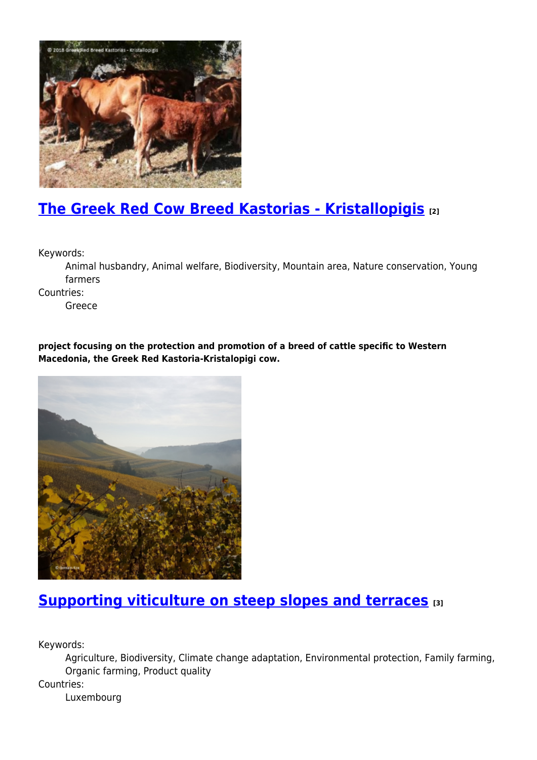

# **[The Greek Red Cow Breed Kastorias - Kristallopigis](https://enrd.ec.europa.eu/projects-practice/greek-red-cow-breed-kastorias-kristallopigis_en) [2]**

Keywords:

Animal husbandry, Animal welfare, Biodiversity, Mountain area, Nature conservation, Young farmers

Countries:

Greece

**project focusing on the protection and promotion of a breed of cattle specific to Western Macedonia, the Greek Red Kastoria-Kristalopigi cow.**



## **[Supporting viticulture on steep slopes and terraces](https://enrd.ec.europa.eu/projects-practice/supporting-viticulture-steep-slopes-and-terraces_en) [3]**

Keywords:

Agriculture, Biodiversity, Climate change adaptation, Environmental protection, Family farming, Organic farming, Product quality

Countries:

Luxembourg